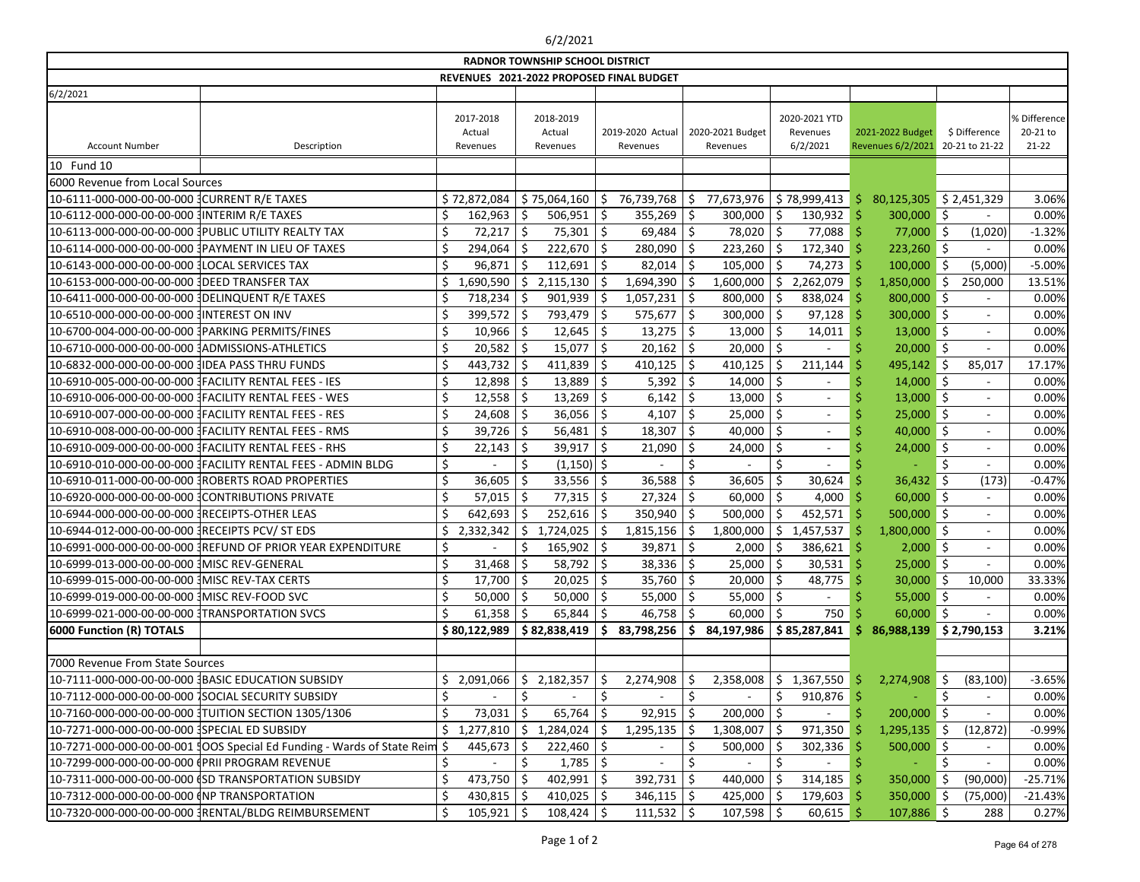## 6/2/2021

| <b>RADNOR TOWNSHIP SCHOOL DISTRICT</b>                                      |                                          |                                 |                                 |     |                              |     |                              |    |                                       |    |                                       |     |                                 |                                     |
|-----------------------------------------------------------------------------|------------------------------------------|---------------------------------|---------------------------------|-----|------------------------------|-----|------------------------------|----|---------------------------------------|----|---------------------------------------|-----|---------------------------------|-------------------------------------|
|                                                                             | REVENUES 2021-2022 PROPOSED FINAL BUDGET |                                 |                                 |     |                              |     |                              |    |                                       |    |                                       |     |                                 |                                     |
| 6/2/2021                                                                    |                                          |                                 |                                 |     |                              |     |                              |    |                                       |    |                                       |     |                                 |                                     |
| <b>Account Number</b><br>Description                                        |                                          | 2017-2018<br>Actual<br>Revenues | 2018-2019<br>Actual<br>Revenues |     | 2019-2020 Actual<br>Revenues |     | 2020-2021 Budget<br>Revenues |    | 2020-2021 YTD<br>Revenues<br>6/2/2021 |    | 2021-2022 Budget<br>Revenues 6/2/2021 |     | \$ Difference<br>20-21 to 21-22 | % Difference<br>20-21 to<br>$21-22$ |
| 10 Fund 10                                                                  |                                          |                                 |                                 |     |                              |     |                              |    |                                       |    |                                       |     |                                 |                                     |
| 6000 Revenue from Local Sources                                             |                                          |                                 |                                 |     |                              |     |                              |    |                                       |    |                                       |     |                                 |                                     |
| 10-6111-000-000-00-00-000 CURRENT R/E TAXES                                 |                                          | \$72,872,084                    | \$75,064,160                    | -\$ | 76,739,768                   | \$  | 77,673,976                   |    | \$78,999,413                          | S. | 80,125,305                            |     | \$2,451,329                     | 3.06%                               |
| 10-6112-000-000-00-00-000 INTERIM R/E TAXES                                 |                                          | 162,963                         | \$<br>$506,951$ \$              |     | 355,269                      | \$  | 300,000                      | \$ | $130,932$ \$                          |    | 300,000 \$                            |     |                                 | 0.00%                               |
| 10-6113-000-000-00-00-000 PUBLIC UTILITY REALTY TAX                         |                                          | 72,217                          | $75,301$   \$<br>-\$            |     | 69,484                       | -\$ | 78,020                       | Ŝ. | $77,088$ \$                           |    | 77,000 \$                             |     | (1,020)                         | $-1.32%$                            |
| 10-6114-000-000-00-00-000 PAYMENT IN LIEU OF TAXES                          |                                          | 294,064                         | $222,670$ \$<br>Ŝ               |     | 280,090                      | \$  | $223,260$ \$                 |    | $172,340$ \$                          |    | $223,260$ \$                          |     |                                 | 0.00%                               |
| 10-6143-000-000-00-00-000 1LOCAL SERVICES TAX                               |                                          | 96,871                          | 112,691<br>Ŝ.                   | \$  | 82,014                       | \$  | 105,000                      |    | 74,273                                |    | 100,000                               | -\$ | (5,000)                         | $-5.00%$                            |
| 10-6153-000-000-00-00-000 JDEED TRANSFER TAX                                |                                          | 1,690,590                       | \$<br>2,115,130                 | -\$ | 1,694,390                    | \$  | 1,600,000                    | \$ | 2,262,079                             |    | 1,850,000                             | -\$ | 250,000                         | 13.51%                              |
| 10-6411-000-000-00-00-000 JDELINQUENT R/E TAXES                             |                                          | 718,234                         | \$<br>$901,939$ \$              |     | 1,057,231                    | \$  | 800,000                      | Ŝ  | 838,024                               | -S | 800,000 \$                            |     |                                 | 0.00%                               |
| 10-6510-000-000-00-00-000 INTEREST ON INV                                   |                                          | 399,572                         | 793,479<br>-S                   | ∣\$ | 575,677                      | \$  | 300,000                      |    | 97,128                                |    | $300,000$ \$                          |     |                                 | 0.00%                               |
| 10-6700-004-000-00-00-000 PARKING PERMITS/FINES                             | \$                                       | 10,966                          | 12,645<br>-S                    | -\$ | 13,275                       | \$  | 13,000                       | Ŝ  | 14,011                                |    | $13,000$ \$                           |     |                                 | 0.00%                               |
|                                                                             |                                          | 20,582                          | 15,077<br>Ŝ                     | \$  | 20,162                       | \$  | 20,000                       | \$ |                                       |    | 20,000                                | -\$ |                                 | 0.00%                               |
| 10-6832-000-000-00-00-000 JIDEA PASS THRU FUNDS                             |                                          | 443,732                         | 411,839                         | \$  | 410,125                      | \$  | 410,125                      |    | 211,144                               |    | 495,142 \$                            |     | 85,017                          | 17.17%                              |
| 10-6910-005-000-00-00-000 JFACILITY RENTAL FEES - IES                       |                                          | 12,898                          | 13,889<br>-\$                   | \$  | 5,392                        | \$  | 14,000                       | \$ |                                       |    | $14,000$ \$                           |     |                                 | 0.00%                               |
| 10-6910-006-000-00-00-000 JFACILITY RENTAL FEES - WES                       |                                          | 12,558                          | 13,269<br>-\$                   | -Ş  | 6,142                        | \$  | 13,000                       | Ŝ  | $\overline{\phantom{a}}$              |    | $13,000$ \$                           |     |                                 | 0.00%                               |
| 10-6910-007-000-00-00-000 JFACILITY RENTAL FEES - RES                       | \$                                       | 24,608                          | 36,056<br>S                     | -\$ | 4,107                        | \$  | 25,000                       | \$ | $\overline{\phantom{a}}$              |    | $25,000$ \$                           |     |                                 | 0.00%                               |
| 10-6910-008-000-00-00-000 JFACILITY RENTAL FEES - RMS                       |                                          | 39,726                          | 56,481<br>Ŝ                     | \$  | 18,307                       | \$  | 40,000                       | \$ |                                       |    | $40,000$ \$                           |     |                                 | 0.00%                               |
| 10-6910-009-000-00-00-000 FACILITY RENTAL FEES - RHS                        |                                          | 22,143                          | 39,917<br>\$.                   | \$  | 21,090                       | \$  | 24,000                       |    | $\overline{\phantom{a}}$              |    | 24,000                                | -\$ |                                 | 0.00%                               |
| 10-6910-010-000-00-00-000 [FACILITY RENTAL FEES - ADMIN BLDG                | \$                                       |                                 | \$<br>$(1,150)$ \$              |     |                              | \$  |                              | \$ |                                       |    |                                       | \$  |                                 | 0.00%                               |
|                                                                             | \$                                       | 36,605                          | 33,556<br>-S                    | -\$ | 36,588                       | \$  | 36,605                       |    | 30,624                                |    | 36,432                                | -\$ | (173)                           | $-0.47%$                            |
| 10-6920-000-000-00-00-000 CONTRIBUTIONS PRIVATE                             | \$                                       | 57,015                          | $77,315$ \$<br>-\$              |     | 27,324                       | \$  | 60,000                       | \$ | $4,000$ \$                            |    | $60,000$ \$                           |     |                                 | 0.00%                               |
| 10-6944-000-000-00-00-000 RECEIPTS-OTHER LEAS                               |                                          | 642,693                         | 252,616<br>Ŝ.                   | -\$ | 350,940                      | \$  | 500,000                      |    | 452,571                               |    | 500,000 \$                            |     |                                 | 0.00%                               |
| 10-6944-012-000-00-00-000 {RECEIPTS PCV/ ST EDS                             |                                          | 2,332,342                       | \$<br>1,724,025                 | \$  | 1,815,156                    | \$  | 1,800,000                    | \$ | 1,457,537                             |    | $1,800,000$ \$                        |     |                                 | 0.00%                               |
|                                                                             | \$                                       |                                 | $165,902$ \$                    |     | 39,871                       | \$  | 2,000                        | S  | 386,621                               |    | $2,000$ \$                            |     |                                 | 0.00%                               |
| 10-6999-013-000-00-00-000 3MISC REV-GENERAL                                 | ς.                                       | $31,468$ \$                     | 58,792 \$                       |     | $38,336$ \$                  |     | 25,000                       | ς. | 30,531                                |    | $25,000$ \$                           |     |                                 | 0.00%                               |
| 10-6999-015-000-00-00-000 1MISC REV-TAX CERTS                               | \$                                       | $17,700$ \$                     | $20,025$ \$                     |     | $35,760$ \$                  |     | 20,000                       | \$ | $48,775$ \$                           |    | $30,000$ \$                           |     | 10,000                          | 33.33%                              |
| 10-6999-019-000-00-00-000 3MISC REV-FOOD SVC                                | \$                                       | 50,000                          | 50,000<br>S.                    | -Ş  | 55,000                       | \$  | 55,000                       | \$ |                                       |    | $55,000$ \$                           |     |                                 | 0.00%                               |
| 10-6999-021-000-00-00-000 [TRANSPORTATION SVCS                              |                                          | 61,358                          | 65,844<br>S.                    |     | 46,758                       | -\$ | 60,000                       |    | 750                                   |    | $60,000$ \$                           |     |                                 | 0.00%                               |
| <b>6000 Function (R) TOTALS</b>                                             |                                          | \$80,122,989                    | \$82,838,419                    | -S  | 83,798,256                   | \$  | $84,197,986$ \$85,287,841    |    |                                       | S. | 86,988,139 \$2,790,153                |     |                                 | 3.21%                               |
|                                                                             |                                          |                                 |                                 |     |                              |     |                              |    |                                       |    |                                       |     |                                 |                                     |
| 7000 Revenue From State Sources                                             |                                          |                                 |                                 |     |                              |     |                              |    |                                       |    |                                       |     |                                 |                                     |
| 10-7111-000-000-00-00-000 BASIC EDUCATION SUBSIDY                           |                                          | 2,091,066                       | \$<br>2,182,357                 |     | 2,274,908                    | -\$ | 2,358,008                    | Ŝ  | 1,367,550                             |    | 2,274,908                             | -S  | (83, 100)                       | $-3.65%$                            |
| 10-7112-000-000-00-00-000 SOCIAL SECURITY SUBSIDY                           |                                          |                                 | \$                              | \$  |                              | \$  |                              |    | $910,876$ \$                          |    |                                       |     |                                 | 0.00%                               |
| 10-7160-000-000-00-00-000 JTUITION SECTION 1305/1306                        |                                          | 73,031                          | 65,764<br>-\$                   | -Ş  | 92,915                       | \$  | 200,000                      | -S |                                       |    | $200,000$ \$                          |     |                                 | 0.00%                               |
| 10-7271-000-000-00-00-000 SPECIAL ED SUBSIDY                                |                                          | 1,277,810                       | -\$<br>1,284,024                | -S  | 1,295,135                    | -\$ | $1,308,007$   \$             |    | 971,350                               |    | $1,295,135$ \$                        |     | (12, 872)                       | $-0.99%$                            |
| 10-7271-000-000-00-00-001   OOS Special Ed Funding - Wards of State Reim \$ |                                          | 445,673                         | $222,460$ \$                    |     |                              | \$  | 500,000                      |    | 302,336                               |    | 500,000 \$                            |     |                                 | 0.00%                               |
| 10-7299-000-000-00-00-000 (PRII PROGRAM REVENUE                             |                                          |                                 | $1,785$   \$                    |     |                              | \$  |                              | \$ |                                       |    |                                       |     |                                 | 0.00%                               |
| 10-7311-000-000-00-00-000 (SD TRANSPORTATION SUBSIDY                        |                                          | 473,750                         | 402,991<br>-S                   |     | 392,731                      | \$  | 440,000                      |    | $314,185$ \$                          |    | 350,000                               | -Ş  | (90,000)                        | $-25.71%$                           |
| 10-7312-000-000-00-00-000 (NP TRANSPORTATION                                |                                          | $430,815$ \$                    | $410,025$ \$                    |     | $346,115$ \$                 |     | $425,000$   \$               |    | $179,603$ \$                          |    | 350,000 \$                            |     | (75,000)                        | $-21.43%$                           |
|                                                                             | \$                                       | $105,921$ \$                    | $108,424$   \$                  |     | $111,532$   \$               |     | $107,598$ \$                 |    | $60,615$ \$                           |    | $107,886$ \$                          |     | 288                             | 0.27%                               |